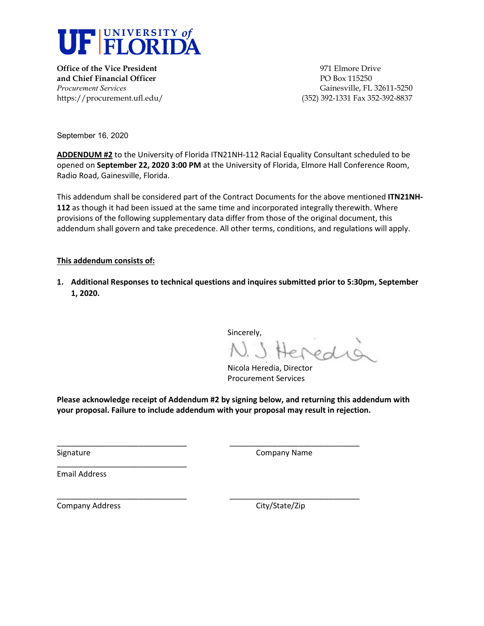

**Office of the Vice President** 1971 Elmore Drive **and Chief Financial Officer Chief Financial Officer PO Box 115250** 

*Procurement Services* Gainesville, FL 32611-5250 https://procurement.ufl.edu/ (352) 392-1331 Fax 352-392-8837

September 16, 2020

**ADDENDUM #2** to the University of Florida ITN21NH-112 Racial Equality Consultant scheduled to be opened on **September 22, 2020 3:00 PM** at the University of Florida, Elmore Hall Conference Room, Radio Road, Gainesville, Florida.

This addendum shall be considered part of the Contract Documents for the above mentioned **ITN21NH-112** as though it had been issued at the same time and incorporated integrally therewith. Where provisions of the following supplementary data differ from those of the original document, this addendum shall govern and take precedence. All other terms, conditions, and regulations will apply.

#### **This addendum consists of:**

**1. Additional Responses to technical questions and inquires submitted prior to 5:30pm, September 1, 2020.** 

Sincerely,

 Nicola Heredia, Director Procurement Services

**Please acknowledge receipt of Addendum #2 by signing below, and returning this addendum with your proposal. Failure to include addendum with your proposal may result in rejection.** 

\_\_\_\_\_\_\_\_\_\_\_\_\_\_\_\_\_\_\_\_\_\_\_\_\_\_\_\_\_\_ \_\_\_\_\_\_\_\_\_\_\_\_\_\_\_\_\_\_\_\_\_\_\_\_\_\_\_\_\_\_

\_\_\_\_\_\_\_\_\_\_\_\_\_\_\_\_\_\_\_\_\_\_\_\_\_\_\_\_\_\_ \_\_\_\_\_\_\_\_\_\_\_\_\_\_\_\_\_\_\_\_\_\_\_\_\_\_\_\_\_\_

Signature Company Name

Email Address

Company Address Company Address City/State/Zip

\_\_\_\_\_\_\_\_\_\_\_\_\_\_\_\_\_\_\_\_\_\_\_\_\_\_\_\_\_\_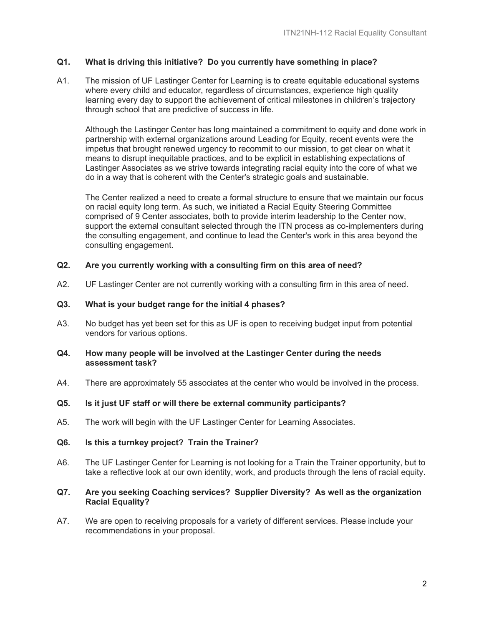# **Q1. What is driving this initiative? Do you currently have something in place?**

A1. The mission of UF Lastinger Center for Learning is to create equitable educational systems where every child and educator, regardless of circumstances, experience high quality learning every day to support the achievement of critical milestones in children's trajectory through school that are predictive of success in life.

Although the Lastinger Center has long maintained a commitment to equity and done work in partnership with external organizations around Leading for Equity, recent events were the impetus that brought renewed urgency to recommit to our mission, to get clear on what it means to disrupt inequitable practices, and to be explicit in establishing expectations of Lastinger Associates as we strive towards integrating racial equity into the core of what we do in a way that is coherent with the Center's strategic goals and sustainable.

The Center realized a need to create a formal structure to ensure that we maintain our focus on racial equity long term. As such, we initiated a Racial Equity Steering Committee comprised of 9 Center associates, both to provide interim leadership to the Center now, support the external consultant selected through the ITN process as co-implementers during the consulting engagement, and continue to lead the Center's work in this area beyond the consulting engagement.

## **Q2. Are you currently working with a consulting firm on this area of need?**

A2. UF Lastinger Center are not currently working with a consulting firm in this area of need.

### **Q3. What is your budget range for the initial 4 phases?**

A3. No budget has yet been set for this as UF is open to receiving budget input from potential vendors for various options.

### **Q4. How many people will be involved at the Lastinger Center during the needs assessment task?**

A4. There are approximately 55 associates at the center who would be involved in the process.

### **Q5. Is it just UF staff or will there be external community participants?**

A5. The work will begin with the UF Lastinger Center for Learning Associates.

### **Q6. Is this a turnkey project? Train the Trainer?**

A6. The UF Lastinger Center for Learning is not looking for a Train the Trainer opportunity, but to take a reflective look at our own identity, work, and products through the lens of racial equity.

#### **Q7. Are you seeking Coaching services? Supplier Diversity? As well as the organization Racial Equality?**

A7. We are open to receiving proposals for a variety of different services. Please include your recommendations in your proposal.